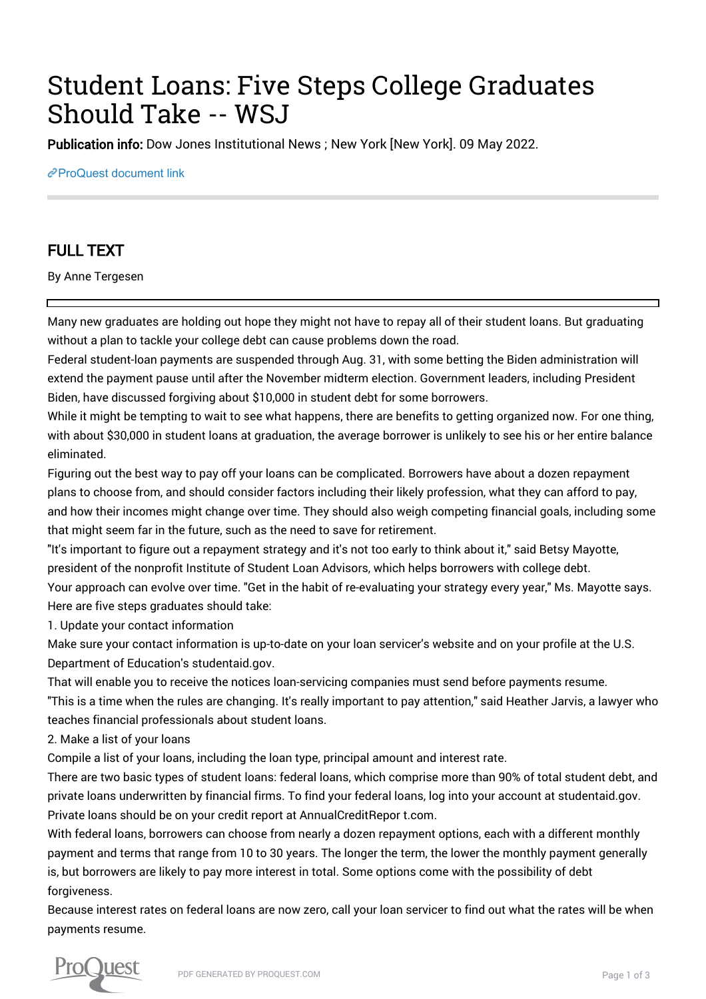# Student Loans: Five Steps College Graduates Should Take -- WSJ

Publication info: Dow Jones Institutional News ; New York [New York]. 09 May 2022.

[ProQuest document link](https://www.proquest.com/wire-feeds/student-loans-five-steps-college-graduates-should/docview/2661295283/se-2?accountid=44910)

## FULL TEXT

By Anne Tergesen

Many new graduates are holding out hope they might not have to repay all of their student loans. But graduating without a plan to tackle your college debt can cause problems down the road.

Federal student-loan payments are suspended through Aug. 31, with some betting the Biden administration will extend the payment pause until after the November midterm election. Government leaders, including President Biden, have discussed forgiving about \$10,000 in student debt for some borrowers.

While it might be tempting to wait to see what happens, there are benefits to getting organized now. For one thing, with about \$30,000 in student loans at graduation, the average borrower is unlikely to see his or her entire balance eliminated.

Figuring out the best way to pay off your loans can be complicated. Borrowers have about a dozen repayment plans to choose from, and should consider factors including their likely profession, what they can afford to pay, and how their incomes might change over time. They should also weigh competing financial goals, including some that might seem far in the future, such as the need to save for retirement.

"It's important to figure out a repayment strategy and it's not too early to think about it," said Betsy Mayotte, president of the nonprofit Institute of Student Loan Advisors, which helps borrowers with college debt. Your approach can evolve over time. "Get in the habit of re-evaluating your strategy every year," Ms. Mayotte says. Here are five steps graduates should take:

1. Update your contact information

Make sure your contact information is up-to-date on your loan servicer's website and on your profile at the U.S. Department of Education's studentaid.gov.

That will enable you to receive the notices loan-servicing companies must send before payments resume. "This is a time when the rules are changing. It's really important to pay attention," said Heather Jarvis, a lawyer who teaches financial professionals about student loans.

2. Make a list of your loans

Compile a list of your loans, including the loan type, principal amount and interest rate.

There are two basic types of student loans: federal loans, which comprise more than 90% of total student debt, and private loans underwritten by financial firms. To find your federal loans, log into your account at studentaid.gov. Private loans should be on your credit report at AnnualCreditRepor t.com.

With federal loans, borrowers can choose from nearly a dozen repayment options, each with a different monthly payment and terms that range from 10 to 30 years. The longer the term, the lower the monthly payment generally is, but borrowers are likely to pay more interest in total. Some options come with the possibility of debt forgiveness.

Because interest rates on federal loans are now zero, call your loan servicer to find out what the rates will be when payments resume.

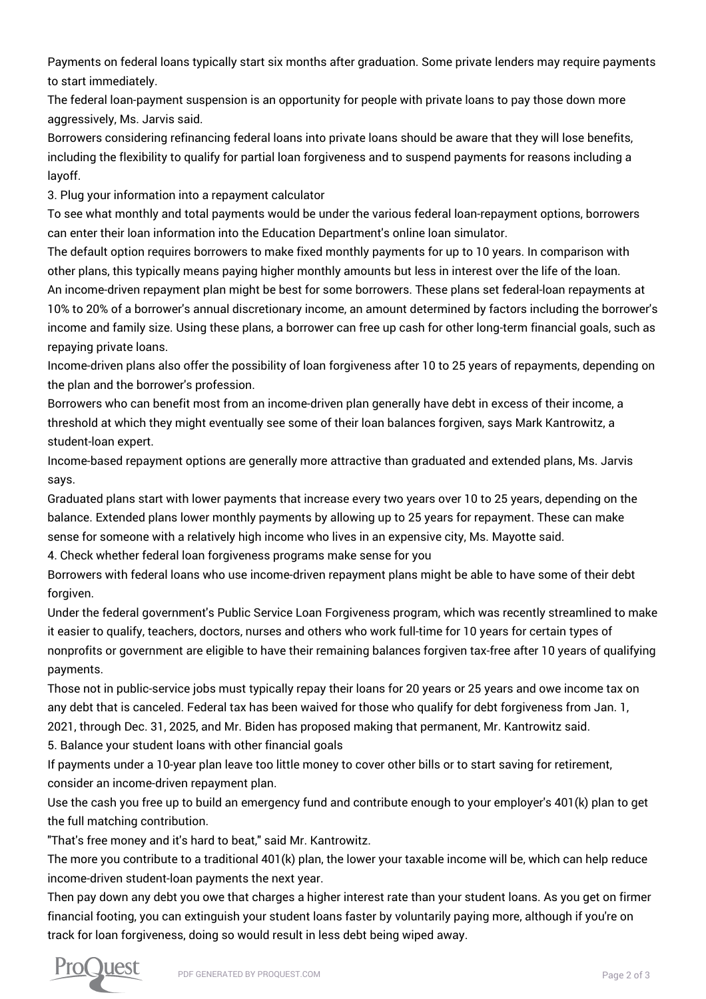Payments on federal loans typically start six months after graduation. Some private lenders may require payments to start immediately.

The federal loan-payment suspension is an opportunity for people with private loans to pay those down more aggressively, Ms. Jarvis said.

Borrowers considering refinancing federal loans into private loans should be aware that they will lose benefits, including the flexibility to qualify for partial loan forgiveness and to suspend payments for reasons including a layoff.

3. Plug your information into a repayment calculator

To see what monthly and total payments would be under the various federal loan-repayment options, borrowers can enter their loan information into the Education Department's online loan simulator.

The default option requires borrowers to make fixed monthly payments for up to 10 years. In comparison with other plans, this typically means paying higher monthly amounts but less in interest over the life of the loan.

An income-driven repayment plan might be best for some borrowers. These plans set federal-loan repayments at 10% to 20% of a borrower's annual discretionary income, an amount determined by factors including the borrower's income and family size. Using these plans, a borrower can free up cash for other long-term financial goals, such as repaying private loans.

Income-driven plans also offer the possibility of loan forgiveness after 10 to 25 years of repayments, depending on the plan and the borrower's profession.

Borrowers who can benefit most from an income-driven plan generally have debt in excess of their income, a threshold at which they might eventually see some of their loan balances forgiven, says Mark Kantrowitz, a student-loan expert.

Income-based repayment options are generally more attractive than graduated and extended plans, Ms. Jarvis says.

Graduated plans start with lower payments that increase every two years over 10 to 25 years, depending on the balance. Extended plans lower monthly payments by allowing up to 25 years for repayment. These can make sense for someone with a relatively high income who lives in an expensive city, Ms. Mayotte said.

4. Check whether federal loan forgiveness programs make sense for you

Borrowers with federal loans who use income-driven repayment plans might be able to have some of their debt forgiven.

Under the federal government's Public Service Loan Forgiveness program, which was recently streamlined to make it easier to qualify, teachers, doctors, nurses and others who work full-time for 10 years for certain types of nonprofits or government are eligible to have their remaining balances forgiven tax-free after 10 years of qualifying payments.

Those not in public-service jobs must typically repay their loans for 20 years or 25 years and owe income tax on any debt that is canceled. Federal tax has been waived for those who qualify for debt forgiveness from Jan. 1, 2021, through Dec. 31, 2025, and Mr. Biden has proposed making that permanent, Mr. Kantrowitz said.

5. Balance your student loans with other financial goals

If payments under a 10-year plan leave too little money to cover other bills or to start saving for retirement, consider an income-driven repayment plan.

Use the cash you free up to build an emergency fund and contribute enough to your employer's 401(k) plan to get the full matching contribution.

"That's free money and it's hard to beat," said Mr. Kantrowitz.

The more you contribute to a traditional 401(k) plan, the lower your taxable income will be, which can help reduce income-driven student-loan payments the next year.

Then pay down any debt you owe that charges a higher interest rate than your student loans. As you get on firmer financial footing, you can extinguish your student loans faster by voluntarily paying more, although if you're on track for loan forgiveness, doing so would result in less debt being wiped away.